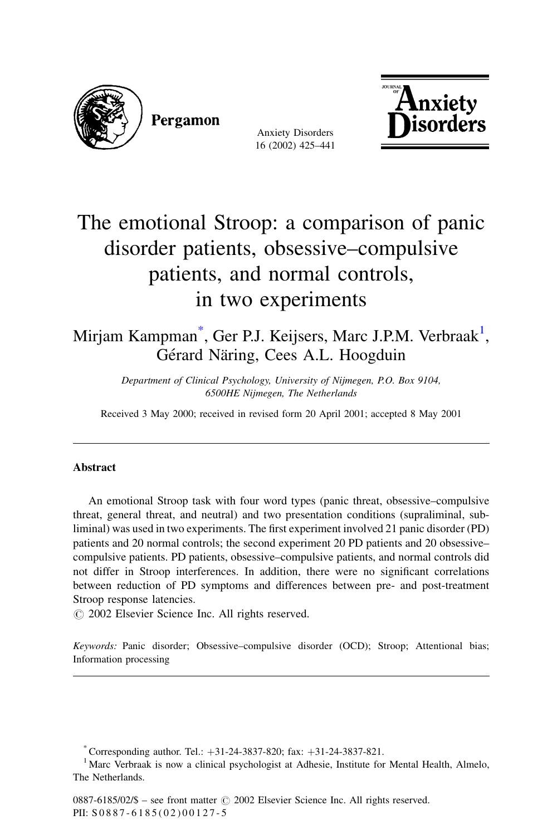

Pergamon

**Anxiety Disorders** 16 (2002) 425-441



## The emotional Stroop: a comparison of panic disorder patients, obsessive–compulsive patients, and normal controls, in two experiments

Mirjam Kampman<sup>\*</sup>, Ger P.J. Keijsers, Marc J.P.M. Verbraak<sup>1</sup>, Gérard Näring, Cees A.L. Hoogduin

> Department of Clinical Psychology, University of Nijmegen, P.O. Box 9104, 6500HE Nijmegen, The Netherlands

Received 3 May 2000; received in revised form 20 April 2001; accepted 8 May 2001

## **Abstract**

An emotional Stroop task with four word types (panic threat, obsessive–compulsive threat, general threat, and neutral) and two presentation conditions (supraliminal, subliminal) was used in two experiments. The first experiment involved 21 panic disorder (PD) patients and 20 normal controls; the second experiment 20 PD patients and 20 obsessivecompulsive patients. PD patients, obsessive-compulsive patients, and normal controls did not differ in Stroop interferences. In addition, there were no significant correlations between reduction of PD symptoms and differences between pre- and post-treatment Stroop response latencies.

© 2002 Elsevier Science Inc. All rights reserved.

Keywords: Panic disorder; Obsessive-compulsive disorder (OCD); Stroop; Attentional bias; Information processing

\* Corresponding author. Tel.:  $+31-24-3837-820$ ; fax:  $+31-24-3837-821$ .

<sup>1</sup> Marc Verbraak is now a clinical psychologist at Adhesie, Institute for Mental Health, Almelo, The Netherlands.

0887-6185/02/\$ – see front matter  $\odot$  2002 Elsevier Science Inc. All rights reserved. PII: S0887-6185(02)00127-5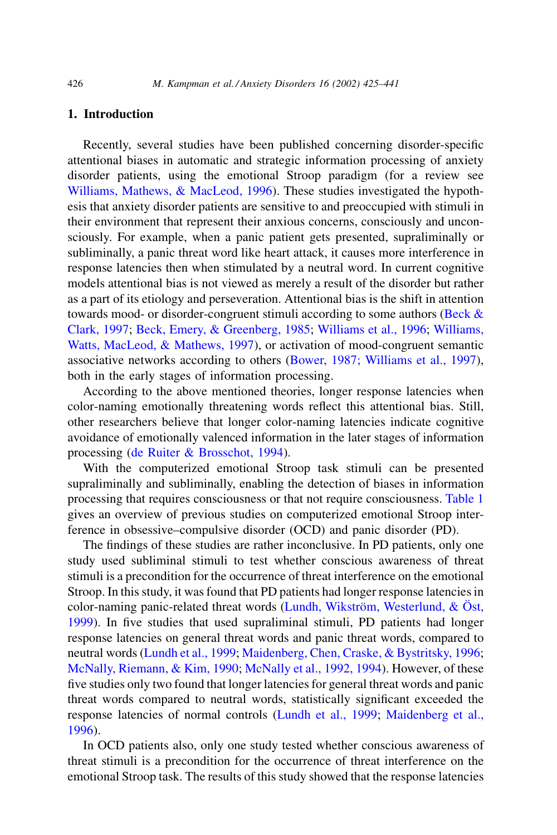## 1. Introduction

Recently, several studies have been published concerning disorder-specific attentional biases in automatic and strategic information processing of anxiety disorder patients, using the emotional Stroop paradigm (for a review see Williams, Mathews, & MacLeod, 1996). These studies investigated the hypothesis that anxiety disorder patients are sensitive to and preoccupied with stimuli in their environment that represent their anxious concerns, consciously and unconsciously. For example, when a panic patient gets presented, supraliminally or subliminally, a panic threat word like heart attack, it causes more interference in response latencies then when stimulated by a neutral word. In current cognitive models attentional bias is not viewed as merely a result of the disorder but rather as a part of its etiology and perseveration. Attentional bias is the shift in attention towards mood- or disorder-congruent stimuli according to some authors (Beck  $\&$ Clark, 1997; Beck, Emery, & Greenberg, 1985; Williams et al., 1996; Williams, Watts, MacLeod, & Mathews, 1997), or activation of mood-congruent semantic associative networks according to others (Bower, 1987; Williams et al., 1997), both in the early stages of information processing.

According to the above mentioned theories, longer response latencies when color-naming emotionally threatening words reflect this attentional bias. Still, other researchers believe that longer color-naming latencies indicate cognitive avoidance of emotionally valenced information in the later stages of information processing (de Ruiter & Brosschot, 1994).

With the computerized emotional Stroop task stimuli can be presented supraliminally and subliminally, enabling the detection of biases in information processing that requires consciousness or that not require consciousness. Table 1 gives an overview of previous studies on computerized emotional Stroop interference in obsessive–compulsive disorder (OCD) and panic disorder (PD).

The findings of these studies are rather inconclusive. In PD patients, only one study used subliminal stimuli to test whether conscious awareness of threat stimuli is a precondition for the occurrence of threat interference on the emotional Stroop. In this study, it was found that PD patients had longer response latencies in color-naming panic-related threat words (Lundh, Wikström, Westerlund, & Öst, 1999). In five studies that used supraliminal stimuli, PD patients had longer response latencies on general threat words and panic threat words, compared to neutral words (Lundh et al., 1999; Maidenberg, Chen, Craske, & Bystritsky, 1996; McNally, Riemann, & Kim, 1990; McNally et al., 1992, 1994). However, of these five studies only two found that longer latencies for general threat words and panic threat words compared to neutral words, statistically significant exceeded the response latencies of normal controls (Lundh et al., 1999; Maidenberg et al., 1996).

In OCD patients also, only one study tested whether conscious awareness of threat stimuli is a precondition for the occurrence of threat interference on the emotional Stroop task. The results of this study showed that the response latencies